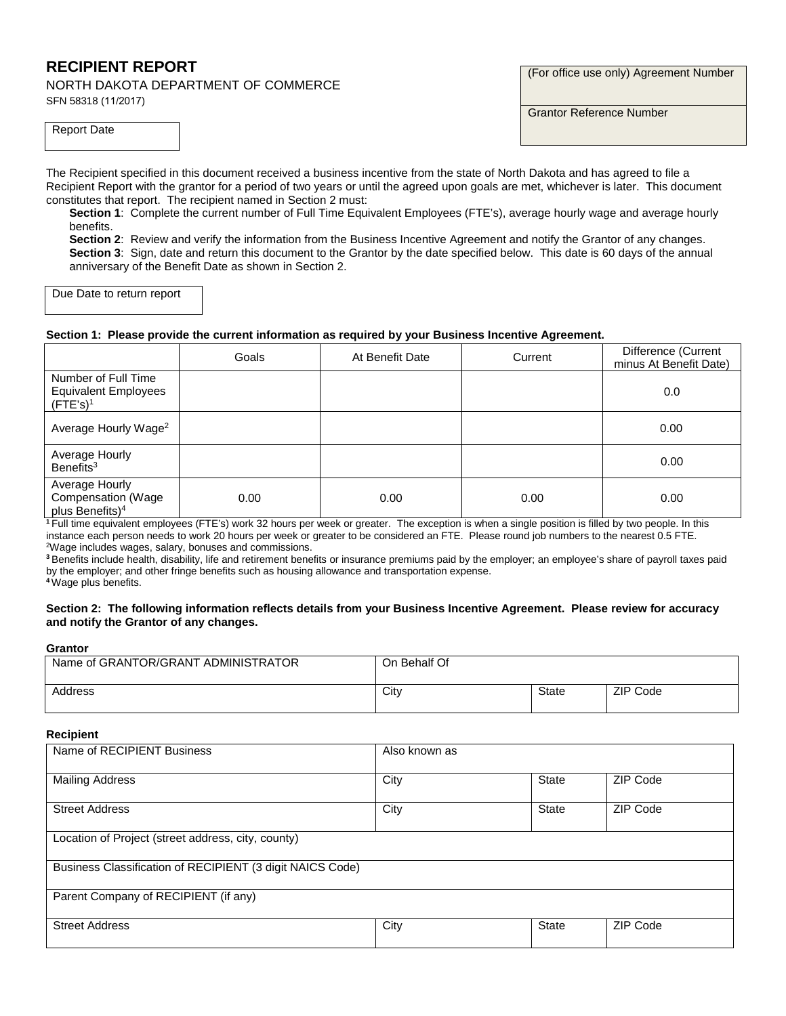# **RECIPIENT REPORT**

NORTH DAKOTA DEPARTMENT OF COMMERCE SFN 58318 (11/2017)

Report Date

(For office use only) Agreement Number

Grantor Reference Number

The Recipient specified in this document received a business incentive from the state of North Dakota and has agreed to file a Recipient Report with the grantor for a period of two years or until the agreed upon goals are met, whichever is later. This document constitutes that report. The recipient named in Section 2 must:

**Section 1**: Complete the current number of Full Time Equivalent Employees (FTE's), average hourly wage and average hourly benefits.

**Section 2**: Review and verify the information from the Business Incentive Agreement and notify the Grantor of any changes. **Section 3**: Sign, date and return this document to the Grantor by the date specified below. This date is 60 days of the annual anniversary of the Benefit Date as shown in Section 2.

Due Date to return report

### **Section 1: Please provide the current information as required by your Business Incentive Agreement.**

|                                                                                  | Goals | At Benefit Date | Current | Difference (Current<br>minus At Benefit Date) |
|----------------------------------------------------------------------------------|-------|-----------------|---------|-----------------------------------------------|
| Number of Full Time<br><b>Equivalent Employees</b><br>$($ FTE's $)$ <sup>1</sup> |       |                 |         | 0.0                                           |
| Average Hourly Wage <sup>2</sup>                                                 |       |                 |         | 0.00                                          |
| Average Hourly<br>Benefits <sup>3</sup>                                          |       |                 |         | 0.00                                          |
| Average Hourly<br>Compensation (Wage<br>plus Benefits) <sup>4</sup>              | 0.00  | 0.00            | 0.00    | 0.00                                          |

**<sup>1</sup>**Full time equivalent employees (FTE's) work 32 hours per week or greater. The exception is when a single position is filled by two people. In this instance each person needs to work 20 hours per week or greater to be considered an FTE. Please round job numbers to the nearest 0.5 FTE. 2 Wage includes wages, salary, bonuses and commissions.

**<sup>3</sup>**Benefits include health, disability, life and retirement benefits or insurance premiums paid by the employer; an employee's share of payroll taxes paid by the employer; and other fringe benefits such as housing allowance and transportation expense.

**<sup>4</sup>**Wage plus benefits.

#### **Section 2: The following information reflects details from your Business Incentive Agreement. Please review for accuracy and notify the Grantor of any changes.**

#### **Grantor**

| Name of GRANTOR/GRANT ADMINISTRATOR | On Behalf Of |       |          |
|-------------------------------------|--------------|-------|----------|
| Address                             | City         | State | ZIP Code |

#### **Recipient**

| novipione                                                 |               |              |          |  |
|-----------------------------------------------------------|---------------|--------------|----------|--|
| Name of RECIPIENT Business                                | Also known as |              |          |  |
| <b>Mailing Address</b>                                    | City          | <b>State</b> | ZIP Code |  |
| <b>Street Address</b>                                     | City          | <b>State</b> | ZIP Code |  |
| Location of Project (street address, city, county)        |               |              |          |  |
| Business Classification of RECIPIENT (3 digit NAICS Code) |               |              |          |  |
| Parent Company of RECIPIENT (if any)                      |               |              |          |  |
| <b>Street Address</b>                                     | City          | <b>State</b> | ZIP Code |  |